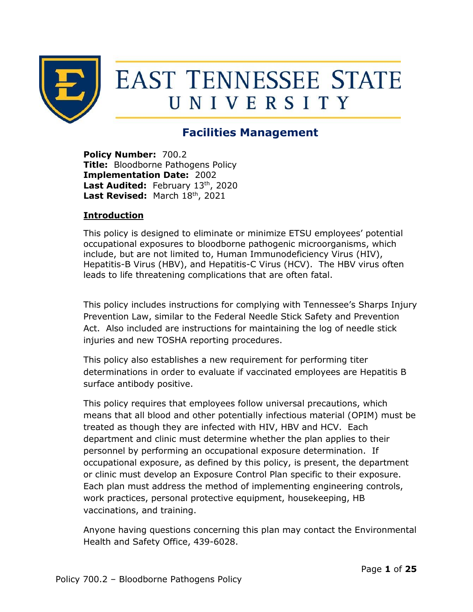

# **Facilities Management**

**Policy Number:** 700.2 **Title:** Bloodborne Pathogens Policy **Implementation Date:** 2002 Last Audited: February 13<sup>th</sup>, 2020 Last Revised: March 18th, 2021

### **Introduction**

This policy is designed to eliminate or minimize ETSU employees' potential occupational exposures to bloodborne pathogenic microorganisms, which include, but are not limited to, Human Immunodeficiency Virus (HIV), Hepatitis-B Virus (HBV), and Hepatitis-C Virus (HCV). The HBV virus often leads to life threatening complications that are often fatal.

This policy includes instructions for complying with Tennessee's Sharps Injury Prevention Law, similar to the Federal Needle Stick Safety and Prevention Act. Also included are instructions for maintaining the log of needle stick injuries and new TOSHA reporting procedures.

This policy also establishes a new requirement for performing titer determinations in order to evaluate if vaccinated employees are Hepatitis B surface antibody positive.

This policy requires that employees follow universal precautions, which means that all blood and other potentially infectious material (OPIM) must be treated as though they are infected with HIV, HBV and HCV. Each department and clinic must determine whether the plan applies to their personnel by performing an occupational exposure determination. If occupational exposure, as defined by this policy, is present, the department or clinic must develop an Exposure Control Plan specific to their exposure. Each plan must address the method of implementing engineering controls, work practices, personal protective equipment, housekeeping, HB vaccinations, and training.

Anyone having questions concerning this plan may contact the Environmental Health and Safety Office, 439-6028.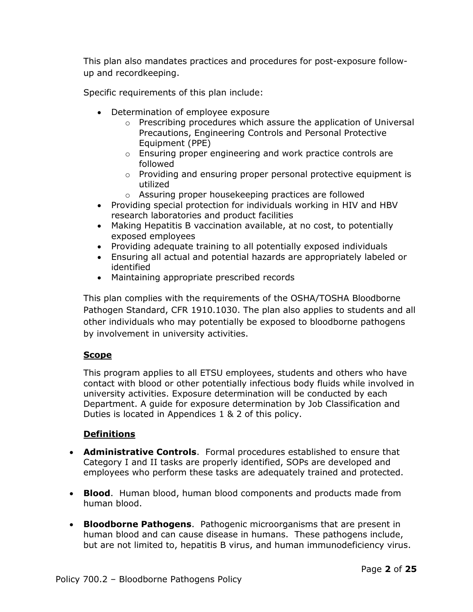This plan also mandates practices and procedures for post-exposure followup and recordkeeping.

Specific requirements of this plan include:

- Determination of employee exposure
	- o Prescribing procedures which assure the application of Universal Precautions, Engineering Controls and Personal Protective Equipment (PPE)
	- o Ensuring proper engineering and work practice controls are followed
	- o Providing and ensuring proper personal protective equipment is utilized
	- o Assuring proper housekeeping practices are followed
- Providing special protection for individuals working in HIV and HBV research laboratories and product facilities
- Making Hepatitis B vaccination available, at no cost, to potentially exposed employees
- Providing adequate training to all potentially exposed individuals
- Ensuring all actual and potential hazards are appropriately labeled or identified
- Maintaining appropriate prescribed records

This plan complies with the requirements of the OSHA/TOSHA Bloodborne Pathogen Standard, CFR 1910.1030. The plan also applies to students and all other individuals who may potentially be exposed to bloodborne pathogens by involvement in university activities.

### **Scope**

This program applies to all ETSU employees, students and others who have contact with blood or other potentially infectious body fluids while involved in university activities. Exposure determination will be conducted by each Department. A guide for exposure determination by Job Classification and Duties is located in Appendices 1 & 2 of this policy.

### **Definitions**

- **Administrative Controls**. Formal procedures established to ensure that Category I and II tasks are properly identified, SOPs are developed and employees who perform these tasks are adequately trained and protected.
- **Blood**. Human blood, human blood components and products made from human blood.
- **Bloodborne Pathogens**. Pathogenic microorganisms that are present in human blood and can cause disease in humans. These pathogens include, but are not limited to, hepatitis B virus, and human immunodeficiency virus.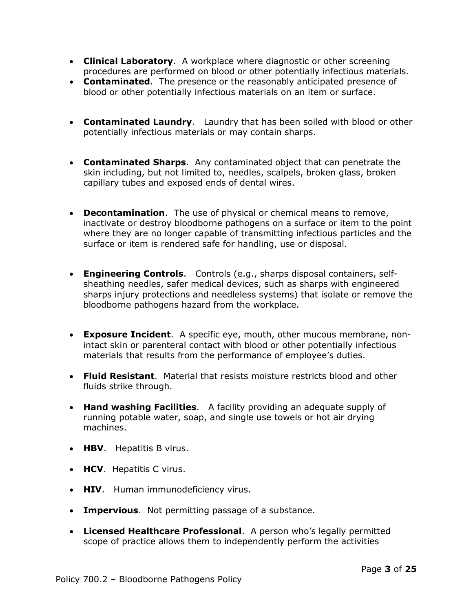- **Clinical Laboratory**. A workplace where diagnostic or other screening procedures are performed on blood or other potentially infectious materials.
- **Contaminated**. The presence or the reasonably anticipated presence of blood or other potentially infectious materials on an item or surface.
- **Contaminated Laundry**. Laundry that has been soiled with blood or other potentially infectious materials or may contain sharps.
- **Contaminated Sharps**. Any contaminated object that can penetrate the skin including, but not limited to, needles, scalpels, broken glass, broken capillary tubes and exposed ends of dental wires.
- **Decontamination**. The use of physical or chemical means to remove, inactivate or destroy bloodborne pathogens on a surface or item to the point where they are no longer capable of transmitting infectious particles and the surface or item is rendered safe for handling, use or disposal.
- **Engineering Controls**. Controls (e.g., sharps disposal containers, selfsheathing needles, safer medical devices, such as sharps with engineered sharps injury protections and needleless systems) that isolate or remove the bloodborne pathogens hazard from the workplace.
- **Exposure Incident**. A specific eye, mouth, other mucous membrane, nonintact skin or parenteral contact with blood or other potentially infectious materials that results from the performance of employee's duties.
- **Fluid Resistant**. Material that resists moisture restricts blood and other fluids strike through.
- **Hand washing Facilities**. A facility providing an adequate supply of running potable water, soap, and single use towels or hot air drying machines.
- **HBV**. Hepatitis B virus.
- **HCV**. Hepatitis C virus.
- **HIV**. Human immunodeficiency virus.
- **Impervious**. Not permitting passage of a substance.
- **Licensed Healthcare Professional**. A person who's legally permitted scope of practice allows them to independently perform the activities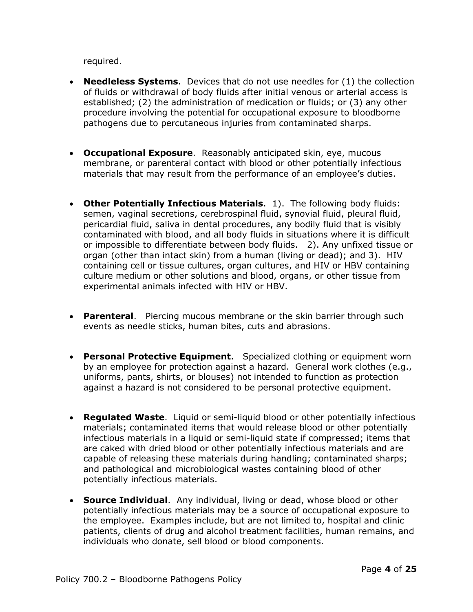required.

- **Needleless Systems**. Devices that do not use needles for (1) the collection of fluids or withdrawal of body fluids after initial venous or arterial access is established; (2) the administration of medication or fluids; or (3) any other procedure involving the potential for occupational exposure to bloodborne pathogens due to percutaneous injuries from contaminated sharps.
- **Occupational Exposure**. Reasonably anticipated skin, eye, mucous membrane, or parenteral contact with blood or other potentially infectious materials that may result from the performance of an employee's duties.
- **Other Potentially Infectious Materials**. 1). The following body fluids: semen, vaginal secretions, cerebrospinal fluid, synovial fluid, pleural fluid, pericardial fluid, saliva in dental procedures, any bodily fluid that is visibly contaminated with blood, and all body fluids in situations where it is difficult or impossible to differentiate between body fluids. 2). Any unfixed tissue or organ (other than intact skin) from a human (living or dead); and 3). HIV containing cell or tissue cultures, organ cultures, and HIV or HBV containing culture medium or other solutions and blood, organs, or other tissue from experimental animals infected with HIV or HBV.
- **Parenteral**. Piercing mucous membrane or the skin barrier through such events as needle sticks, human bites, cuts and abrasions.
- **Personal Protective Equipment**. Specialized clothing or equipment worn by an employee for protection against a hazard. General work clothes (e.g., uniforms, pants, shirts, or blouses) not intended to function as protection against a hazard is not considered to be personal protective equipment.
- **Regulated Waste**. Liquid or semi-liquid blood or other potentially infectious materials; contaminated items that would release blood or other potentially infectious materials in a liquid or semi-liquid state if compressed; items that are caked with dried blood or other potentially infectious materials and are capable of releasing these materials during handling; contaminated sharps; and pathological and microbiological wastes containing blood of other potentially infectious materials.
- **Source Individual**. Any individual, living or dead, whose blood or other potentially infectious materials may be a source of occupational exposure to the employee. Examples include, but are not limited to, hospital and clinic patients, clients of drug and alcohol treatment facilities, human remains, and individuals who donate, sell blood or blood components.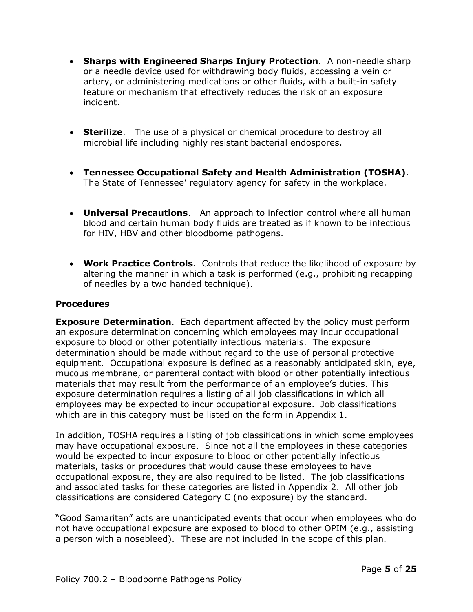- **Sharps with Engineered Sharps Injury Protection**. A non-needle sharp or a needle device used for withdrawing body fluids, accessing a vein or artery, or administering medications or other fluids, with a built-in safety feature or mechanism that effectively reduces the risk of an exposure incident.
- **Sterilize**. The use of a physical or chemical procedure to destroy all microbial life including highly resistant bacterial endospores.
- **Tennessee Occupational Safety and Health Administration (TOSHA)**. The State of Tennessee' regulatory agency for safety in the workplace.
- **Universal Precautions**. An approach to infection control where all human blood and certain human body fluids are treated as if known to be infectious for HIV, HBV and other bloodborne pathogens.
- **Work Practice Controls**. Controls that reduce the likelihood of exposure by altering the manner in which a task is performed (e.g., prohibiting recapping of needles by a two handed technique).

### **Procedures**

**Exposure Determination**. Each department affected by the policy must perform an exposure determination concerning which employees may incur occupational exposure to blood or other potentially infectious materials. The exposure determination should be made without regard to the use of personal protective equipment. Occupational exposure is defined as a reasonably anticipated skin, eye, mucous membrane, or parenteral contact with blood or other potentially infectious materials that may result from the performance of an employee's duties. This exposure determination requires a listing of all job classifications in which all employees may be expected to incur occupational exposure. Job classifications which are in this category must be listed on the form in Appendix 1.

In addition, TOSHA requires a listing of job classifications in which some employees may have occupational exposure. Since not all the employees in these categories would be expected to incur exposure to blood or other potentially infectious materials, tasks or procedures that would cause these employees to have occupational exposure, they are also required to be listed. The job classifications and associated tasks for these categories are listed in Appendix 2. All other job classifications are considered Category C (no exposure) by the standard.

"Good Samaritan" acts are unanticipated events that occur when employees who do not have occupational exposure are exposed to blood to other OPIM (e.g., assisting a person with a nosebleed). These are not included in the scope of this plan.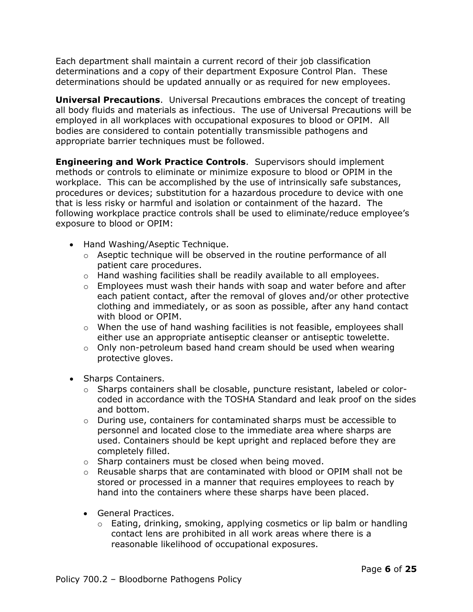Each department shall maintain a current record of their job classification determinations and a copy of their department Exposure Control Plan. These determinations should be updated annually or as required for new employees.

**Universal Precautions**. Universal Precautions embraces the concept of treating all body fluids and materials as infectious. The use of Universal Precautions will be employed in all workplaces with occupational exposures to blood or OPIM. All bodies are considered to contain potentially transmissible pathogens and appropriate barrier techniques must be followed.

**Engineering and Work Practice Controls**. Supervisors should implement methods or controls to eliminate or minimize exposure to blood or OPIM in the workplace. This can be accomplished by the use of intrinsically safe substances, procedures or devices; substitution for a hazardous procedure to device with one that is less risky or harmful and isolation or containment of the hazard. The following workplace practice controls shall be used to eliminate/reduce employee's exposure to blood or OPIM:

- Hand Washing/Aseptic Technique.
	- o Aseptic technique will be observed in the routine performance of all patient care procedures.
	- $\circ$  Hand washing facilities shall be readily available to all employees.
	- $\circ$  Employees must wash their hands with soap and water before and after each patient contact, after the removal of gloves and/or other protective clothing and immediately, or as soon as possible, after any hand contact with blood or OPIM.
	- o When the use of hand washing facilities is not feasible, employees shall either use an appropriate antiseptic cleanser or antiseptic towelette.
	- o Only non-petroleum based hand cream should be used when wearing protective gloves.
- Sharps Containers.
	- $\circ$  Sharps containers shall be closable, puncture resistant, labeled or colorcoded in accordance with the TOSHA Standard and leak proof on the sides and bottom.
	- $\circ$  During use, containers for contaminated sharps must be accessible to personnel and located close to the immediate area where sharps are used. Containers should be kept upright and replaced before they are completely filled.
	- o Sharp containers must be closed when being moved.
	- o Reusable sharps that are contaminated with blood or OPIM shall not be stored or processed in a manner that requires employees to reach by hand into the containers where these sharps have been placed.
	- General Practices.
		- $\circ$  Eating, drinking, smoking, applying cosmetics or lip balm or handling contact lens are prohibited in all work areas where there is a reasonable likelihood of occupational exposures.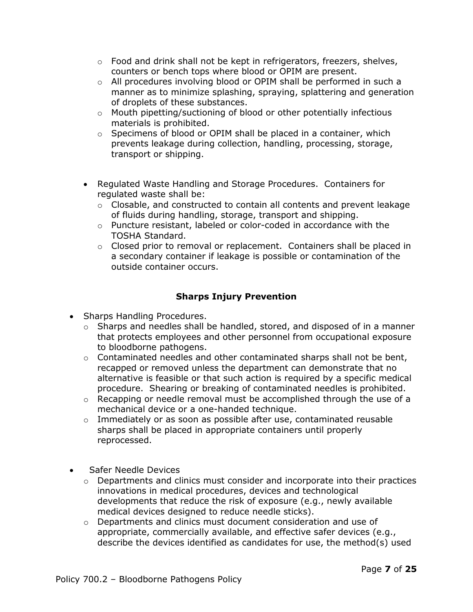- $\circ$  Food and drink shall not be kept in refrigerators, freezers, shelves, counters or bench tops where blood or OPIM are present.
- o All procedures involving blood or OPIM shall be performed in such a manner as to minimize splashing, spraying, splattering and generation of droplets of these substances.
- $\circ$  Mouth pipetting/suctioning of blood or other potentially infectious materials is prohibited.
- o Specimens of blood or OPIM shall be placed in a container, which prevents leakage during collection, handling, processing, storage, transport or shipping.
- Regulated Waste Handling and Storage Procedures. Containers for regulated waste shall be:
	- $\circ$  Closable, and constructed to contain all contents and prevent leakage of fluids during handling, storage, transport and shipping.
	- o Puncture resistant, labeled or color-coded in accordance with the TOSHA Standard.
	- $\circ$  Closed prior to removal or replacement. Containers shall be placed in a secondary container if leakage is possible or contamination of the outside container occurs.

### **Sharps Injury Prevention**

- Sharps Handling Procedures.
	- o Sharps and needles shall be handled, stored, and disposed of in a manner that protects employees and other personnel from occupational exposure to bloodborne pathogens.
	- $\circ$  Contaminated needles and other contaminated sharps shall not be bent, recapped or removed unless the department can demonstrate that no alternative is feasible or that such action is required by a specific medical procedure. Shearing or breaking of contaminated needles is prohibited.
	- $\circ$  Recapping or needle removal must be accomplished through the use of a mechanical device or a one-handed technique.
	- $\circ$  Immediately or as soon as possible after use, contaminated reusable sharps shall be placed in appropriate containers until properly reprocessed.
- •Safer Needle Devices
	- o Departments and clinics must consider and incorporate into their practices innovations in medical procedures, devices and technological developments that reduce the risk of exposure (e.g., newly available medical devices designed to reduce needle sticks).
	- $\circ$  Departments and clinics must document consideration and use of appropriate, commercially available, and effective safer devices (e.g., describe the devices identified as candidates for use, the method(s) used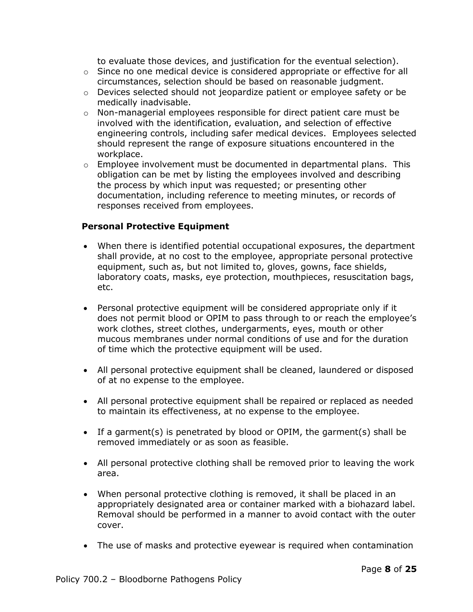to evaluate those devices, and justification for the eventual selection).

- $\circ$  Since no one medical device is considered appropriate or effective for all circumstances, selection should be based on reasonable judgment.
- o Devices selected should not jeopardize patient or employee safety or be medically inadvisable.
- $\circ$  Non-managerial employees responsible for direct patient care must be involved with the identification, evaluation, and selection of effective engineering controls, including safer medical devices. Employees selected should represent the range of exposure situations encountered in the workplace.
- $\circ$  Employee involvement must be documented in departmental plans. This obligation can be met by listing the employees involved and describing the process by which input was requested; or presenting other documentation, including reference to meeting minutes, or records of responses received from employees.

#### **Personal Protective Equipment**

- When there is identified potential occupational exposures, the department shall provide, at no cost to the employee, appropriate personal protective equipment, such as, but not limited to, gloves, gowns, face shields, laboratory coats, masks, eye protection, mouthpieces, resuscitation bags, etc.
- Personal protective equipment will be considered appropriate only if it does not permit blood or OPIM to pass through to or reach the employee's work clothes, street clothes, undergarments, eyes, mouth or other mucous membranes under normal conditions of use and for the duration of time which the protective equipment will be used.
- All personal protective equipment shall be cleaned, laundered or disposed of at no expense to the employee.
- All personal protective equipment shall be repaired or replaced as needed to maintain its effectiveness, at no expense to the employee.
- If a garment(s) is penetrated by blood or OPIM, the garment(s) shall be removed immediately or as soon as feasible.
- All personal protective clothing shall be removed prior to leaving the work area.
- When personal protective clothing is removed, it shall be placed in an appropriately designated area or container marked with a biohazard label. Removal should be performed in a manner to avoid contact with the outer cover.
- The use of masks and protective eyewear is required when contamination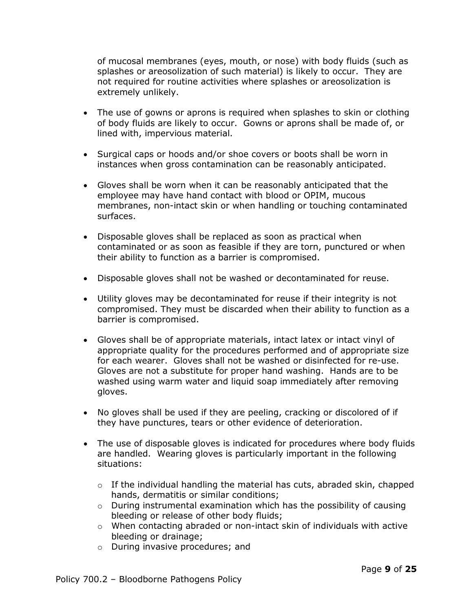of mucosal membranes (eyes, mouth, or nose) with body fluids (such as splashes or areosolization of such material) is likely to occur. They are not required for routine activities where splashes or areosolization is extremely unlikely.

- The use of gowns or aprons is required when splashes to skin or clothing of body fluids are likely to occur. Gowns or aprons shall be made of, or lined with, impervious material.
- Surgical caps or hoods and/or shoe covers or boots shall be worn in instances when gross contamination can be reasonably anticipated.
- Gloves shall be worn when it can be reasonably anticipated that the employee may have hand contact with blood or OPIM, mucous membranes, non-intact skin or when handling or touching contaminated surfaces.
- Disposable gloves shall be replaced as soon as practical when contaminated or as soon as feasible if they are torn, punctured or when their ability to function as a barrier is compromised.
- Disposable gloves shall not be washed or decontaminated for reuse.
- Utility gloves may be decontaminated for reuse if their integrity is not compromised. They must be discarded when their ability to function as a barrier is compromised.
- Gloves shall be of appropriate materials, intact latex or intact vinyl of appropriate quality for the procedures performed and of appropriate size for each wearer. Gloves shall not be washed or disinfected for re-use. Gloves are not a substitute for proper hand washing. Hands are to be washed using warm water and liquid soap immediately after removing gloves.
- No gloves shall be used if they are peeling, cracking or discolored of if they have punctures, tears or other evidence of deterioration.
- The use of disposable gloves is indicated for procedures where body fluids are handled. Wearing gloves is particularly important in the following situations:
	- $\circ$  If the individual handling the material has cuts, abraded skin, chapped hands, dermatitis or similar conditions;
	- o During instrumental examination which has the possibility of causing bleeding or release of other body fluids;
	- o When contacting abraded or non-intact skin of individuals with active bleeding or drainage;
	- o During invasive procedures; and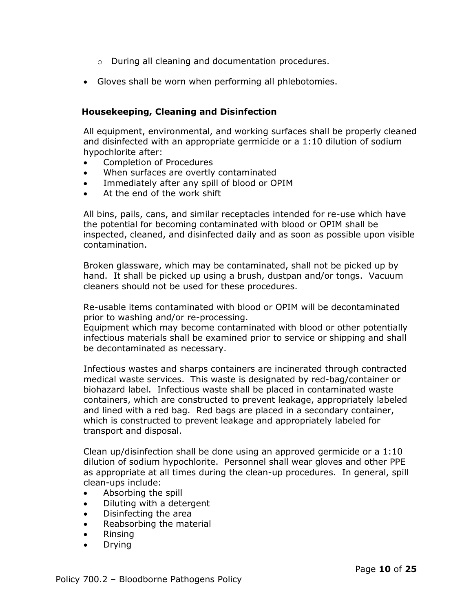- o During all cleaning and documentation procedures.
- Gloves shall be worn when performing all phlebotomies.

#### **Housekeeping, Cleaning and Disinfection**

All equipment, environmental, and working surfaces shall be properly cleaned and disinfected with an appropriate germicide or a 1:10 dilution of sodium hypochlorite after:

- Completion of Procedures
- When surfaces are overtly contaminated
- Immediately after any spill of blood or OPIM
- At the end of the work shift

All bins, pails, cans, and similar receptacles intended for re-use which have the potential for becoming contaminated with blood or OPIM shall be inspected, cleaned, and disinfected daily and as soon as possible upon visible contamination.

Broken glassware, which may be contaminated, shall not be picked up by hand. It shall be picked up using a brush, dustpan and/or tongs. Vacuum cleaners should not be used for these procedures.

Re-usable items contaminated with blood or OPIM will be decontaminated prior to washing and/or re-processing.

Equipment which may become contaminated with blood or other potentially infectious materials shall be examined prior to service or shipping and shall be decontaminated as necessary.

Infectious wastes and sharps containers are incinerated through contracted medical waste services. This waste is designated by red-bag/container or biohazard label. Infectious waste shall be placed in contaminated waste containers, which are constructed to prevent leakage, appropriately labeled and lined with a red bag. Red bags are placed in a secondary container, which is constructed to prevent leakage and appropriately labeled for transport and disposal.

Clean up/disinfection shall be done using an approved germicide or a 1:10 dilution of sodium hypochlorite. Personnel shall wear gloves and other PPE as appropriate at all times during the clean-up procedures. In general, spill clean-ups include:

- Absorbing the spill
- Diluting with a detergent
- Disinfecting the area
- Reabsorbing the material
- Rinsing
- Drying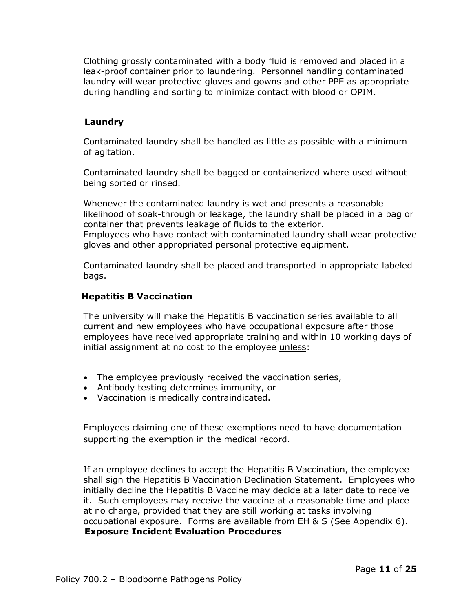Clothing grossly contaminated with a body fluid is removed and placed in a leak-proof container prior to laundering. Personnel handling contaminated laundry will wear protective gloves and gowns and other PPE as appropriate during handling and sorting to minimize contact with blood or OPIM.

#### **Laundry**

Contaminated laundry shall be handled as little as possible with a minimum of agitation.

Contaminated laundry shall be bagged or containerized where used without being sorted or rinsed.

Whenever the contaminated laundry is wet and presents a reasonable likelihood of soak-through or leakage, the laundry shall be placed in a bag or container that prevents leakage of fluids to the exterior. Employees who have contact with contaminated laundry shall wear protective gloves and other appropriated personal protective equipment.

Contaminated laundry shall be placed and transported in appropriate labeled bags.

#### **Hepatitis B Vaccination**

The university will make the Hepatitis B vaccination series available to all current and new employees who have occupational exposure after those employees have received appropriate training and within 10 working days of initial assignment at no cost to the employee unless:

- The employee previously received the vaccination series,
- Antibody testing determines immunity, or
- Vaccination is medically contraindicated.

Employees claiming one of these exemptions need to have documentation supporting the exemption in the medical record.

If an employee declines to accept the Hepatitis B Vaccination, the employee shall sign the Hepatitis B Vaccination Declination Statement. Employees who initially decline the Hepatitis B Vaccine may decide at a later date to receive it. Such employees may receive the vaccine at a reasonable time and place at no charge, provided that they are still working at tasks involving occupational exposure. Forms are available from EH & S (See Appendix 6).  **Exposure Incident Evaluation Procedures**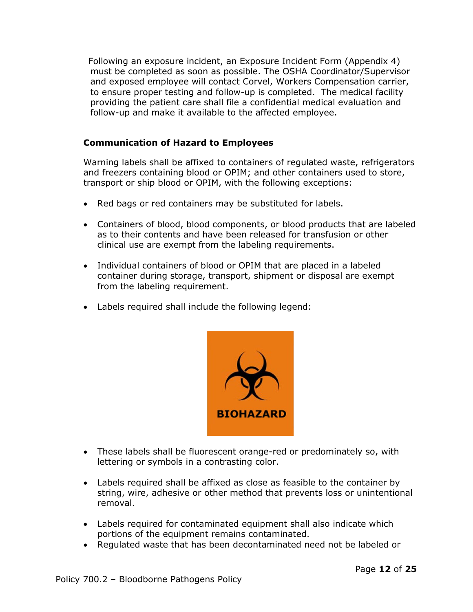Following an exposure incident, an Exposure Incident Form (Appendix 4) must be completed as soon as possible. The OSHA Coordinator/Supervisor and exposed employee will contact Corvel, Workers Compensation carrier, to ensure proper testing and follow-up is completed. The medical facility providing the patient care shall file a confidential medical evaluation and follow-up and make it available to the affected employee.

### **Communication of Hazard to Employees**

Warning labels shall be affixed to containers of regulated waste, refrigerators and freezers containing blood or OPIM; and other containers used to store, transport or ship blood or OPIM, with the following exceptions:

- Red bags or red containers may be substituted for labels.
- Containers of blood, blood components, or blood products that are labeled as to their contents and have been released for transfusion or other clinical use are exempt from the labeling requirements.
- Individual containers of blood or OPIM that are placed in a labeled container during storage, transport, shipment or disposal are exempt from the labeling requirement.
- Labels required shall include the following legend:



- These labels shall be fluorescent orange-red or predominately so, with lettering or symbols in a contrasting color.
- Labels required shall be affixed as close as feasible to the container by string, wire, adhesive or other method that prevents loss or unintentional removal.
- Labels required for contaminated equipment shall also indicate which portions of the equipment remains contaminated.
- Regulated waste that has been decontaminated need not be labeled or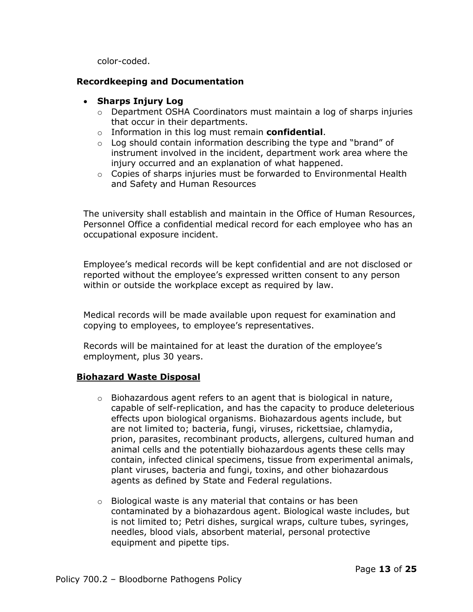color-coded.

#### **Recordkeeping and Documentation**

#### • **Sharps Injury Log**

- o Department OSHA Coordinators must maintain a log of sharps injuries that occur in their departments.
- o Information in this log must remain **confidential**.
- $\circ$  Log should contain information describing the type and "brand" of instrument involved in the incident, department work area where the injury occurred and an explanation of what happened.
- $\circ$  Copies of sharps injuries must be forwarded to Environmental Health and Safety and Human Resources

The university shall establish and maintain in the Office of Human Resources, Personnel Office a confidential medical record for each employee who has an occupational exposure incident.

Employee's medical records will be kept confidential and are not disclosed or reported without the employee's expressed written consent to any person within or outside the workplace except as required by law.

Medical records will be made available upon request for examination and copying to employees, to employee's representatives.

Records will be maintained for at least the duration of the employee's employment, plus 30 years.

#### **Biohazard Waste Disposal**

- $\circ$  Biohazardous agent refers to an agent that is biological in nature, capable of self-replication, and has the capacity to produce deleterious effects upon biological organisms. Biohazardous agents include, but are not limited to; bacteria, fungi, viruses, rickettsiae, chlamydia, prion, parasites, recombinant products, allergens, cultured human and animal cells and the potentially biohazardous agents these cells may contain, infected clinical specimens, tissue from experimental animals, plant viruses, bacteria and fungi, toxins, and other biohazardous agents as defined by State and Federal regulations.
- o Biological waste is any material that contains or has been contaminated by a biohazardous agent. Biological waste includes, but is not limited to; Petri dishes, surgical wraps, culture tubes, syringes, needles, blood vials, absorbent material, personal protective equipment and pipette tips.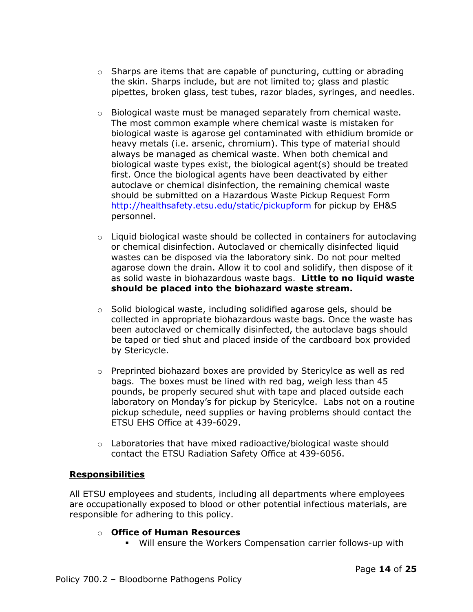- $\circ$  Sharps are items that are capable of puncturing, cutting or abrading the skin. Sharps include, but are not limited to; glass and plastic pipettes, broken glass, test tubes, razor blades, syringes, and needles.
- $\circ$  Biological waste must be managed separately from chemical waste. The most common example where chemical waste is mistaken for biological waste is agarose gel contaminated with ethidium bromide or heavy metals (i.e. arsenic, chromium). This type of material should always be managed as chemical waste. When both chemical and biological waste types exist, the biological agent(s) should be treated first. Once the biological agents have been deactivated by either autoclave or chemical disinfection, the remaining chemical waste should be submitted on a Hazardous Waste Pickup Request Form <http://healthsafety.etsu.edu/static/pickupform> for pickup by EH&S personnel.
- $\circ$  Liquid biological waste should be collected in containers for autoclaving or chemical disinfection. Autoclaved or chemically disinfected liquid wastes can be disposed via the laboratory sink. Do not pour melted agarose down the drain. Allow it to cool and solidify, then dispose of it as solid waste in biohazardous waste bags. **Little to no liquid waste should be placed into the biohazard waste stream.**
- $\circ$  Solid biological waste, including solidified agarose gels, should be collected in appropriate biohazardous waste bags. Once the waste has been autoclaved or chemically disinfected, the autoclave bags should be taped or tied shut and placed inside of the cardboard box provided by Stericycle.
- $\circ$  Preprinted biohazard boxes are provided by Stericylce as well as red bags. The boxes must be lined with red bag, weigh less than 45 pounds, be properly secured shut with tape and placed outside each laboratory on Monday's for pickup by Stericylce. Labs not on a routine pickup schedule, need supplies or having problems should contact the ETSU EHS Office at 439-6029.
- $\circ$  Laboratories that have mixed radioactive/biological waste should contact the ETSU Radiation Safety Office at 439-6056.

### **Responsibilities**

All ETSU employees and students, including all departments where employees are occupationally exposed to blood or other potential infectious materials, are responsible for adhering to this policy.

#### o **Office of Human Resources**

Will ensure the Workers Compensation carrier follows-up with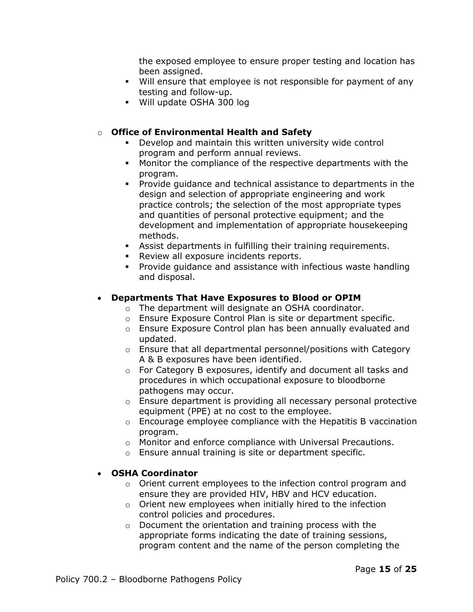the exposed employee to ensure proper testing and location has been assigned.

- Will ensure that employee is not responsible for payment of any testing and follow-up.
- Will update OSHA 300 log

### o **Office of Environmental Health and Safety**

- Develop and maintain this written university wide control program and perform annual reviews.
- Monitor the compliance of the respective departments with the program.
- Provide guidance and technical assistance to departments in the design and selection of appropriate engineering and work practice controls; the selection of the most appropriate types and quantities of personal protective equipment; and the development and implementation of appropriate housekeeping methods.
- Assist departments in fulfilling their training requirements.
- Review all exposure incidents reports.
- Provide guidance and assistance with infectious waste handling and disposal.

### • **Departments That Have Exposures to Blood or OPIM**

- o The department will designate an OSHA coordinator.
- o Ensure Exposure Control Plan is site or department specific.
- o Ensure Exposure Control plan has been annually evaluated and updated.
- o Ensure that all departmental personnel/positions with Category A & B exposures have been identified.
- o For Category B exposures, identify and document all tasks and procedures in which occupational exposure to bloodborne pathogens may occur.
- o Ensure department is providing all necessary personal protective equipment (PPE) at no cost to the employee.
- o Encourage employee compliance with the Hepatitis B vaccination program.
- o Monitor and enforce compliance with Universal Precautions.
- o Ensure annual training is site or department specific.

### • **OSHA Coordinator**

- o Orient current employees to the infection control program and ensure they are provided HIV, HBV and HCV education.
- o Orient new employees when initially hired to the infection control policies and procedures.
- o Document the orientation and training process with the appropriate forms indicating the date of training sessions, program content and the name of the person completing the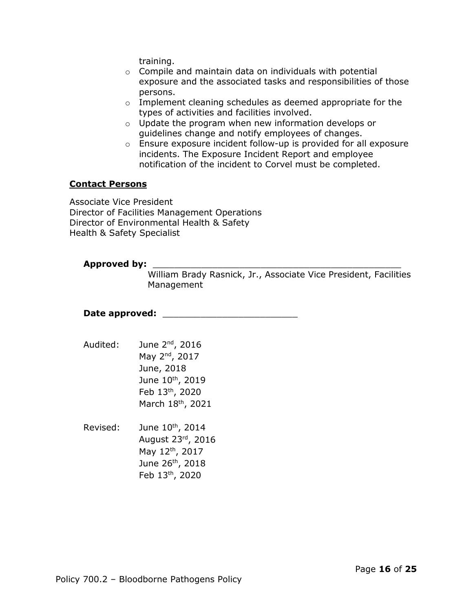training.

- o Compile and maintain data on individuals with potential exposure and the associated tasks and responsibilities of those persons.
- o Implement cleaning schedules as deemed appropriate for the types of activities and facilities involved.
- o Update the program when new information develops or guidelines change and notify employees of changes.
- o Ensure exposure incident follow-up is provided for all exposure incidents. The Exposure Incident Report and employee notification of the incident to Corvel must be completed.

#### **Contact Persons**

Associate Vice President Director of Facilities Management Operations Director of Environmental Health & Safety Health & Safety Specialist

#### Approved by:

William Brady Rasnick, Jr., Associate Vice President, Facilities Management

#### Date approved: <u>\_\_\_\_\_\_\_\_\_\_\_\_\_\_\_\_\_\_\_\_\_\_\_\_\_\_\_</u>

- Audited: June 2<sup>nd</sup>, 2016 May 2<sup>nd</sup>, 2017 June, 2018 June 10<sup>th</sup>, 2019 Feb 13th, 2020 March 18<sup>th</sup>, 2021
- Revised: June 10<sup>th</sup>, 2014 August 23rd, 2016 May 12<sup>th</sup>, 2017 June 26<sup>th</sup>, 2018 Feb 13th, 2020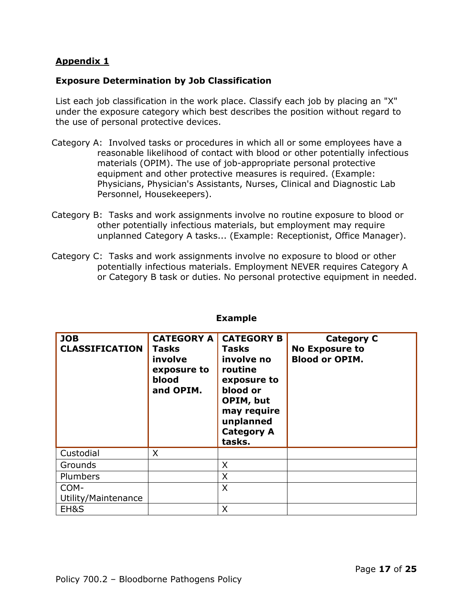#### **Exposure Determination by Job Classification**

List each job classification in the work place. Classify each job by placing an "X" under the exposure category which best describes the position without regard to the use of personal protective devices.

- Category A: Involved tasks or procedures in which all or some employees have a reasonable likelihood of contact with blood or other potentially infectious materials (OPIM). The use of job-appropriate personal protective equipment and other protective measures is required. (Example: Physicians, Physician's Assistants, Nurses, Clinical and Diagnostic Lab Personnel, Housekeepers).
- Category B: Tasks and work assignments involve no routine exposure to blood or other potentially infectious materials, but employment may require unplanned Category A tasks... (Example: Receptionist, Office Manager).
- Category C: Tasks and work assignments involve no exposure to blood or other potentially infectious materials. Employment NEVER requires Category A or Category B task or duties. No personal protective equipment in needed.

| <b>JOB</b><br><b>CLASSIFICATION</b> | <b>CATEGORY A</b><br><b>Tasks</b><br>involve<br>exposure to<br>blood<br>and OPIM. | <b>CATEGORY B</b><br>Tasks<br>involve no<br>routine<br>exposure to<br>blood or<br>OPIM, but<br>may require<br>unplanned<br><b>Category A</b><br>tasks. | <b>Category C</b><br><b>No Exposure to</b><br><b>Blood or OPIM.</b> |
|-------------------------------------|-----------------------------------------------------------------------------------|--------------------------------------------------------------------------------------------------------------------------------------------------------|---------------------------------------------------------------------|
| Custodial                           | X                                                                                 |                                                                                                                                                        |                                                                     |
| <b>Grounds</b>                      |                                                                                   | X                                                                                                                                                      |                                                                     |
| Plumbers                            |                                                                                   | X                                                                                                                                                      |                                                                     |
| COM-                                |                                                                                   | X                                                                                                                                                      |                                                                     |
| Utility/Maintenance                 |                                                                                   |                                                                                                                                                        |                                                                     |
| EH&S                                |                                                                                   | X                                                                                                                                                      |                                                                     |

### **Example**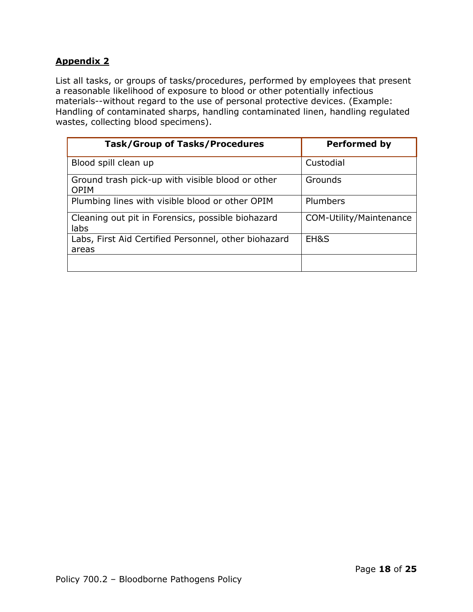List all tasks, or groups of tasks/procedures, performed by employees that present a reasonable likelihood of exposure to blood or other potentially infectious materials--without regard to the use of personal protective devices. (Example: Handling of contaminated sharps, handling contaminated linen, handling regulated wastes, collecting blood specimens).

| <b>Task/Group of Tasks/Procedures</b>                           | <b>Performed by</b>            |
|-----------------------------------------------------------------|--------------------------------|
| Blood spill clean up                                            | Custodial                      |
| Ground trash pick-up with visible blood or other<br><b>OPIM</b> | Grounds                        |
| Plumbing lines with visible blood or other OPIM                 | Plumbers                       |
| Cleaning out pit in Forensics, possible biohazard<br>labs       | <b>COM-Utility/Maintenance</b> |
| Labs, First Aid Certified Personnel, other biohazard<br>areas   | EH&S                           |
|                                                                 |                                |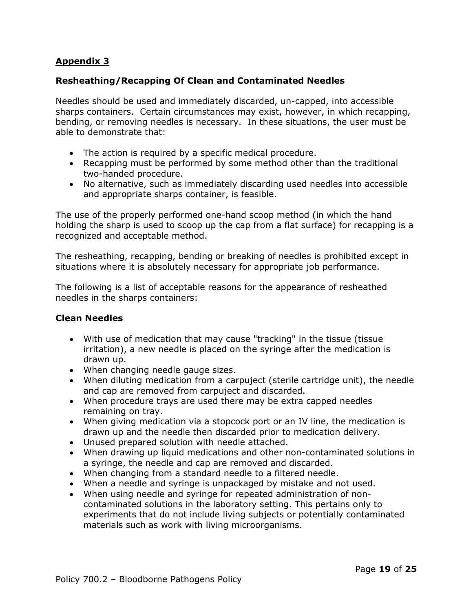#### **Resheathing/Recapping Of Clean and Contaminated Needles**

Needles should be used and immediately discarded, un-capped, into accessible sharps containers. Certain circumstances may exist, however, in which recapping, bending, or removing needles is necessary. In these situations, the user must be able to demonstrate that:

- The action is required by a specific medical procedure.
- Recapping must be performed by some method other than the traditional two-handed procedure.
- No alternative, such as immediately discarding used needles into accessible and appropriate sharps container, is feasible.

The use of the properly performed one-hand scoop method (in which the hand holding the sharp is used to scoop up the cap from a flat surface) for recapping is a recognized and acceptable method.

The resheathing, recapping, bending or breaking of needles is prohibited except in situations where it is absolutely necessary for appropriate job performance.

The following is a list of acceptable reasons for the appearance of resheathed needles in the sharps containers:

#### **Clean Needles**

- With use of medication that may cause "tracking" in the tissue (tissue irritation), a new needle is placed on the syringe after the medication is drawn up.
- When changing needle gauge sizes.
- When diluting medication from a carpuject (sterile cartridge unit), the needle and cap are removed from carpuject and discarded.
- When procedure trays are used there may be extra capped needles remaining on tray.
- When giving medication via a stopcock port or an IV line, the medication is drawn up and the needle then discarded prior to medication delivery.
- Unused prepared solution with needle attached.
- When drawing up liquid medications and other non-contaminated solutions in a syringe, the needle and cap are removed and discarded.
- When changing from a standard needle to a filtered needle.
- When a needle and syringe is unpackaged by mistake and not used.
- When using needle and syringe for repeated administration of noncontaminated solutions in the laboratory setting. This pertains only to experiments that do not include living subjects or potentially contaminated materials such as work with living microorganisms.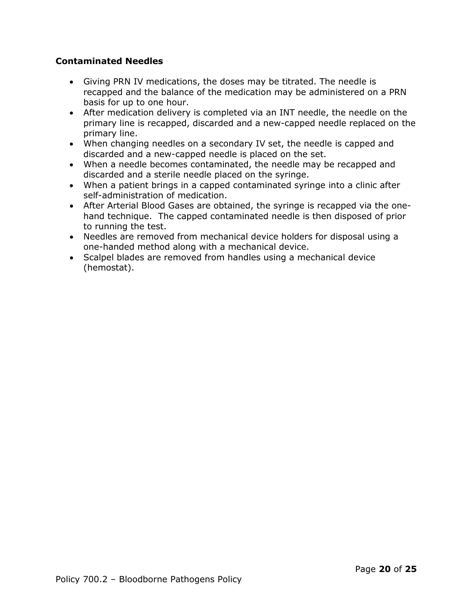### **Contaminated Needles**

- Giving PRN IV medications, the doses may be titrated. The needle is recapped and the balance of the medication may be administered on a PRN basis for up to one hour.
- After medication delivery is completed via an INT needle, the needle on the primary line is recapped, discarded and a new-capped needle replaced on the primary line.
- When changing needles on a secondary IV set, the needle is capped and discarded and a new-capped needle is placed on the set.
- When a needle becomes contaminated, the needle may be recapped and discarded and a sterile needle placed on the syringe.
- When a patient brings in a capped contaminated syringe into a clinic after self-administration of medication.
- After Arterial Blood Gases are obtained, the syringe is recapped via the onehand technique. The capped contaminated needle is then disposed of prior to running the test.
- Needles are removed from mechanical device holders for disposal using a one-handed method along with a mechanical device.
- Scalpel blades are removed from handles using a mechanical device (hemostat).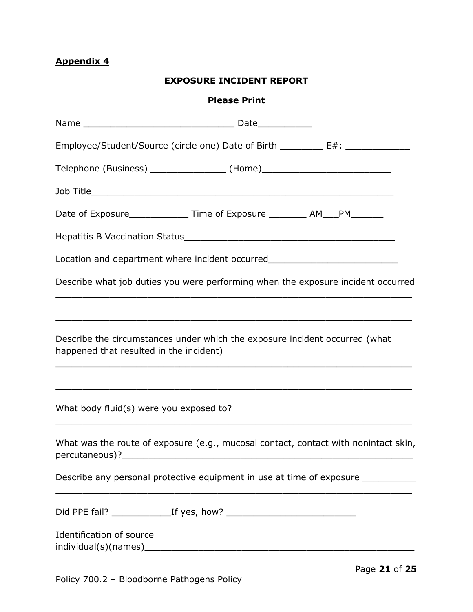### **EXPOSURE INCIDENT REPORT**

### **Please Print**

| Employee/Student/Source (circle one) Date of Birth ________ E#: _______________                                        |                                                                                                                       |
|------------------------------------------------------------------------------------------------------------------------|-----------------------------------------------------------------------------------------------------------------------|
| Telephone (Business) ___________________(Home)__________________________________                                       |                                                                                                                       |
|                                                                                                                        |                                                                                                                       |
| Date of Exposure_________________ Time of Exposure __________ AM____PM_________                                        |                                                                                                                       |
|                                                                                                                        |                                                                                                                       |
| Location and department where incident occurred_________________________________                                       |                                                                                                                       |
| Describe what job duties you were performing when the exposure incident occurred                                       |                                                                                                                       |
|                                                                                                                        |                                                                                                                       |
| Describe the circumstances under which the exposure incident occurred (what<br>happened that resulted in the incident) | <u> 1989 - Johann Harry Harry Harry Harry Harry Harry Harry Harry Harry Harry Harry Harry Harry Harry Harry Harry</u> |
| What body fluid(s) were you exposed to?                                                                                | <u> 1989 - Johann Stoff, amerikan bestein de stad in de stad in de stad in de stad in de stad in de stad in de st</u> |
| What was the route of exposure (e.g., mucosal contact, contact with nonintact skin,                                    |                                                                                                                       |
| Describe any personal protective equipment in use at time of exposure __________                                       |                                                                                                                       |
|                                                                                                                        |                                                                                                                       |
| Identification of source                                                                                               |                                                                                                                       |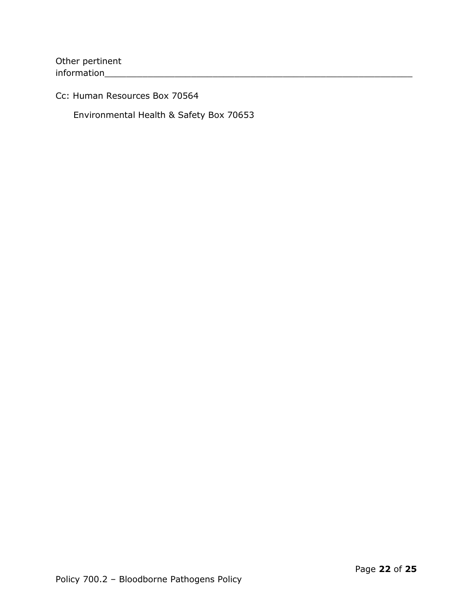Other pertinent information

Cc: Human Resources Box 70564

Environmental Health & Safety Box 70653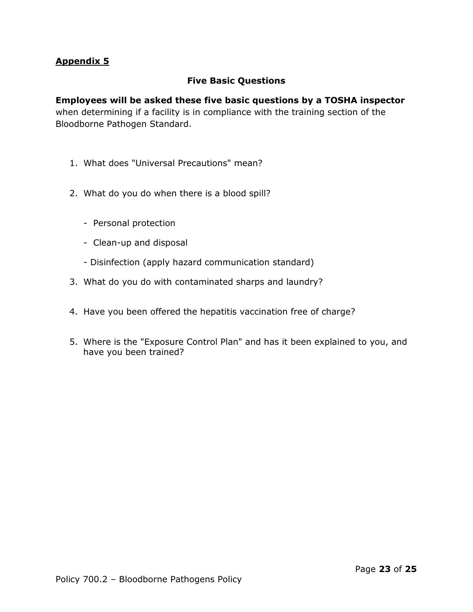### **Five Basic Questions**

### **Employees will be asked these five basic questions by a TOSHA inspector**

when determining if a facility is in compliance with the training section of the Bloodborne Pathogen Standard.

- 1. What does "Universal Precautions" mean?
- 2. What do you do when there is a blood spill?
	- Personal protection
	- Clean-up and disposal
	- Disinfection (apply hazard communication standard)
- 3. What do you do with contaminated sharps and laundry?
- 4. Have you been offered the hepatitis vaccination free of charge?
- 5. Where is the "Exposure Control Plan" and has it been explained to you, and have you been trained?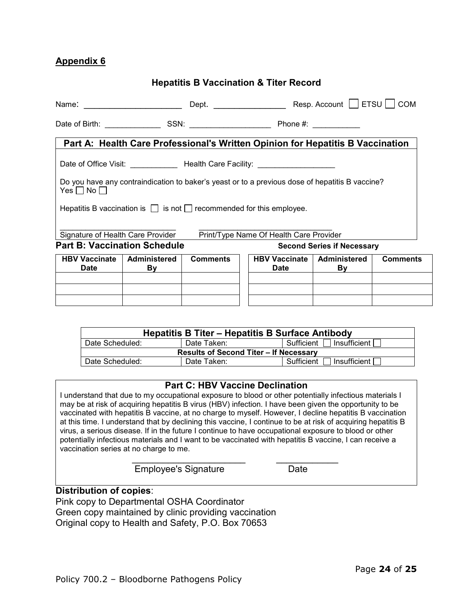### **Hepatitis B Vaccination & Titer Record**

|                                                                                                        |                    |                                   | Part A: Health Care Professional's Written Opinion for Hepatitis B Vaccination                  |                    |                 |
|--------------------------------------------------------------------------------------------------------|--------------------|-----------------------------------|-------------------------------------------------------------------------------------------------|--------------------|-----------------|
|                                                                                                        |                    |                                   | Date of Office Visit: _______________ Health Care Facility: ____________________                |                    |                 |
| Yes $\Box$ No $\Box$<br>Hepatitis B vaccination is $\Box$ is not $\Box$ recommended for this employee. |                    |                                   | Do you have any contraindication to baker's yeast or to a previous dose of hepatitis B vaccine? |                    |                 |
|                                                                                                        |                    |                                   | Signature of Health Care Provider Print/Type Name Of Health Care Provider                       |                    |                 |
| <b>Part B: Vaccination Schedule</b>                                                                    |                    | <b>Second Series if Necessary</b> |                                                                                                 |                    |                 |
| <b>HBV Vaccinate</b><br><b>Date</b>                                                                    | Administered<br>By | <b>Comments</b>                   | <b>HBV Vaccinate</b><br>Date                                                                    | Administered<br>Bv | <b>Comments</b> |
|                                                                                                        |                    |                                   |                                                                                                 |                    |                 |

| <b>Hepatitis B Titer - Hepatitis B Surface Antibody</b> |             |                                  |  |  |
|---------------------------------------------------------|-------------|----------------------------------|--|--|
| Date Scheduled:                                         | Date Taken: | I Insufficient I<br>Sufficient I |  |  |
| <b>Results of Second Titer – If Necessary</b>           |             |                                  |  |  |
| Date Scheduled:                                         | Date Taken: | Insufficient<br>Sufficient       |  |  |

#### **Part C: HBV Vaccine Declination**

I understand that due to my occupational exposure to blood or other potentially infectious materials I may be at risk of acquiring hepatitis B virus (HBV) infection. I have been given the opportunity to be vaccinated with hepatitis B vaccine, at no charge to myself. However, I decline hepatitis B vaccination at this time. I understand that by declining this vaccine, I continue to be at risk of acquiring hepatitis B virus, a serious disease. If in the future I continue to have occupational exposure to blood or other potentially infectious materials and I want to be vaccinated with hepatitis B vaccine, I can receive a vaccination series at no charge to me.

Employee's Signature **Date** 

 $\overline{\phantom{a}}$  ,  $\overline{\phantom{a}}$  ,  $\overline{\phantom{a}}$  ,  $\overline{\phantom{a}}$  ,  $\overline{\phantom{a}}$  ,  $\overline{\phantom{a}}$  ,  $\overline{\phantom{a}}$  ,  $\overline{\phantom{a}}$  ,  $\overline{\phantom{a}}$  ,  $\overline{\phantom{a}}$  ,  $\overline{\phantom{a}}$  ,  $\overline{\phantom{a}}$  ,  $\overline{\phantom{a}}$  ,  $\overline{\phantom{a}}$  ,  $\overline{\phantom{a}}$  ,  $\overline{\phantom{a}}$ 

#### **Distribution of copies**:

Pink copy to Departmental OSHA Coordinator Green copy maintained by clinic providing vaccination Original copy to Health and Safety, P.O. Box 70653